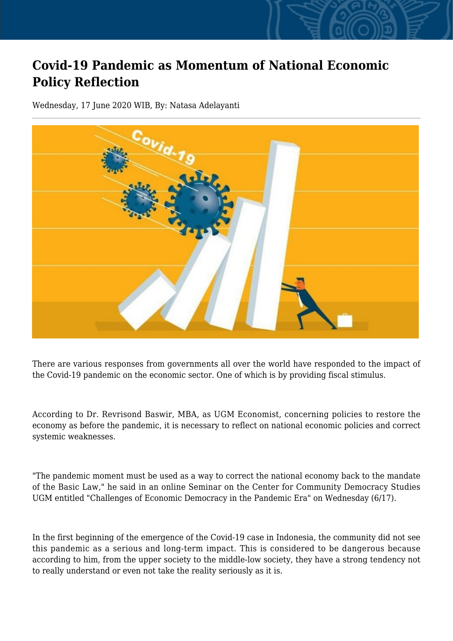## **Covid-19 Pandemic as Momentum of National Economic Policy Reflection**

Wednesday, 17 June 2020 WIB, By: Natasa Adelayanti



There are various responses from governments all over the world have responded to the impact of the Covid-19 pandemic on the economic sector. One of which is by providing fiscal stimulus.

According to Dr. Revrisond Baswir, MBA, as UGM Economist, concerning policies to restore the economy as before the pandemic, it is necessary to reflect on national economic policies and correct systemic weaknesses.

"The pandemic moment must be used as a way to correct the national economy back to the mandate of the Basic Law," he said in an online Seminar on the Center for Community Democracy Studies UGM entitled "Challenges of Economic Democracy in the Pandemic Era" on Wednesday (6/17).

In the first beginning of the emergence of the Covid-19 case in Indonesia, the community did not see this pandemic as a serious and long-term impact. This is considered to be dangerous because according to him, from the upper society to the middle-low society, they have a strong tendency not to really understand or even not take the reality seriously as it is.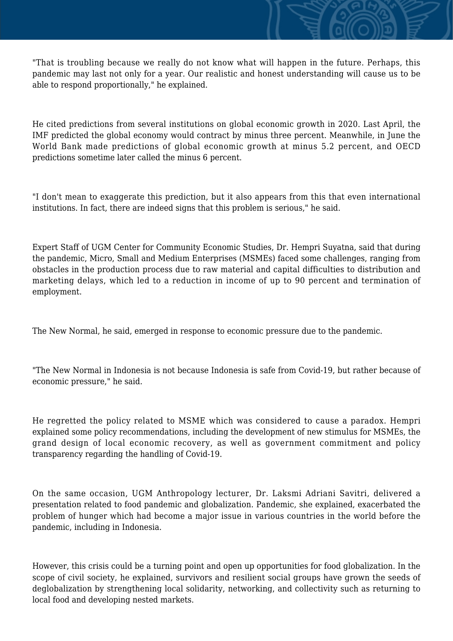"That is troubling because we really do not know what will happen in the future. Perhaps, this pandemic may last not only for a year. Our realistic and honest understanding will cause us to be able to respond proportionally," he explained.

He cited predictions from several institutions on global economic growth in 2020. Last April, the IMF predicted the global economy would contract by minus three percent. Meanwhile, in June the World Bank made predictions of global economic growth at minus 5.2 percent, and OECD predictions sometime later called the minus 6 percent.

"I don't mean to exaggerate this prediction, but it also appears from this that even international institutions. In fact, there are indeed signs that this problem is serious," he said.

Expert Staff of UGM Center for Community Economic Studies, Dr. Hempri Suyatna, said that during the pandemic, Micro, Small and Medium Enterprises (MSMEs) faced some challenges, ranging from obstacles in the production process due to raw material and capital difficulties to distribution and marketing delays, which led to a reduction in income of up to 90 percent and termination of employment.

The New Normal, he said, emerged in response to economic pressure due to the pandemic.

"The New Normal in Indonesia is not because Indonesia is safe from Covid-19, but rather because of economic pressure," he said.

He regretted the policy related to MSME which was considered to cause a paradox. Hempri explained some policy recommendations, including the development of new stimulus for MSMEs, the grand design of local economic recovery, as well as government commitment and policy transparency regarding the handling of Covid-19.

On the same occasion, UGM Anthropology lecturer, Dr. Laksmi Adriani Savitri, delivered a presentation related to food pandemic and globalization. Pandemic, she explained, exacerbated the problem of hunger which had become a major issue in various countries in the world before the pandemic, including in Indonesia.

However, this crisis could be a turning point and open up opportunities for food globalization. In the scope of civil society, he explained, survivors and resilient social groups have grown the seeds of deglobalization by strengthening local solidarity, networking, and collectivity such as returning to local food and developing nested markets.